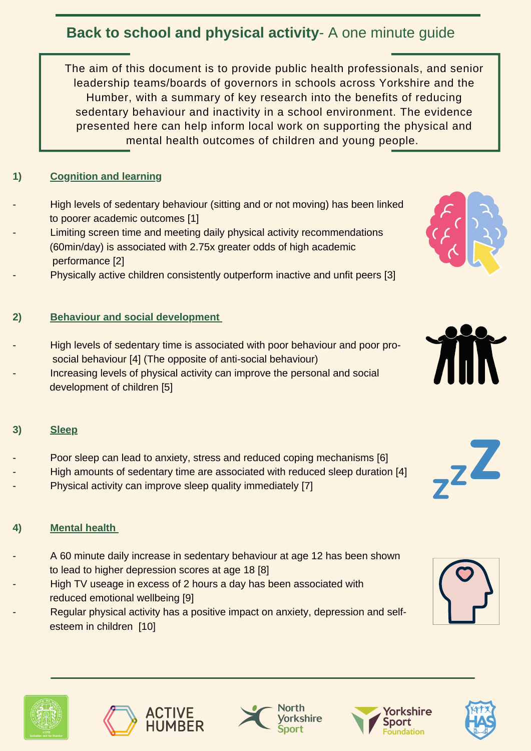The aim of this document is to provide public health professionals, and senior leadership teams/boards of governors in schools across Yorkshire and the Humber, with a summary of key research into the benefits of reducing sedentary behaviour and inactivity in a school environment. The evidence presented here can help inform local work on supporting the physical and mental health outcomes of children and young people.

## **1) Cognition and learning**

High levels of sedentary behaviour (sitting and or not moving) has been linked to poorer academic outcomes [1] Limiting screen time and meeting daily physical activity recommendations (60min/day) is associated with 2.75x greater odds of high academic performance [2] Physically active children consistently outperform inactive and unfit peers [3]

High levels of sedentary time is associated with poor behaviour and poor prosocial behaviour [4] (The opposite of anti-social behaviour) Increasing levels of physical activity can improve the personal and social development of children [5]







- A 60 minute daily increase in sedentary behaviour at age 12 has been shown to lead to higher depression scores at age 18 [8]
- High TV useage in excess of 2 hours a day has been associated with reduced emotional wellbeing [9]
	- Regular physical activity has a positive impact on anxiety, depression and selfesteem in children [10]















**3) Sleep**

- Poor sleep can lead to anxiety, stress and reduced coping mechanisms [6]
- High amounts of sedentary time are associated with reduced sleep duration [4]
- Physical activity can improve sleep quality immediately [7]

### **4) Mental health**

# **Back to school and physical activity**- A one minute guide